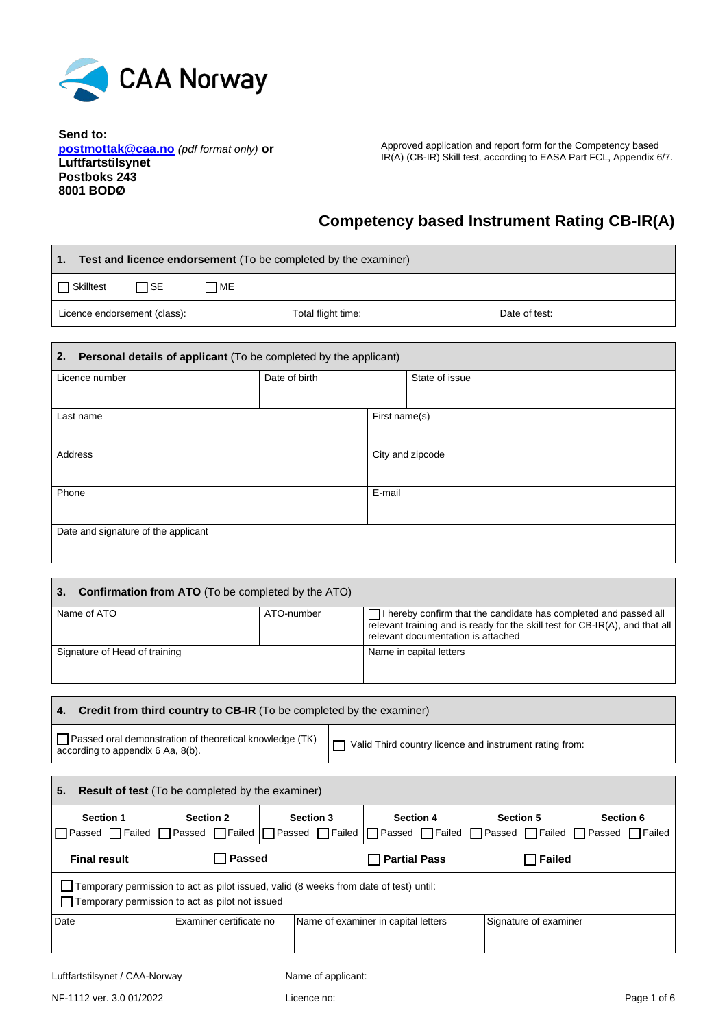

**Send to: postmottak@caa.no** *(pdf format only)* **or Luftfartstilsynet Postboks 243 8001 BODØ**

Г

Approved application and report form for the Competency based IR(A) (CB-IR) Skill test, according to EASA Part FCL, Appendix 6/7.

 $\overline{\phantom{a}}$ 

# **Competency based Instrument Rating CB-IR(A)**

| Test and licence endorsement (To be completed by the examiner)<br>1.   |                    |                  |                |  |  |
|------------------------------------------------------------------------|--------------------|------------------|----------------|--|--|
| $\Box$ SE<br>$\Box$ ME<br>$\Box$ Skilltest                             |                    |                  |                |  |  |
| Licence endorsement (class):                                           | Total flight time: |                  | Date of test:  |  |  |
| Personal details of applicant (To be completed by the applicant)<br>2. |                    |                  |                |  |  |
| Licence number                                                         | Date of birth      |                  | State of issue |  |  |
| Last name                                                              |                    | First name(s)    |                |  |  |
| Address                                                                |                    | City and zipcode |                |  |  |
| Phone                                                                  |                    | E-mail           |                |  |  |
| Date and signature of the applicant                                    |                    |                  |                |  |  |
|                                                                        |                    |                  |                |  |  |

| 3.<br><b>Confirmation from ATO</b> (To be completed by the ATO) |            |                                                                                                                                                                                                    |
|-----------------------------------------------------------------|------------|----------------------------------------------------------------------------------------------------------------------------------------------------------------------------------------------------|
| Name of ATO                                                     | ATO-number | □ I hereby confirm that the candidate has completed and passed all<br>relevant training and is ready for the skill test for $CB\text{-}IR(A)$ , and that all<br>relevant documentation is attached |
| Signature of Head of training                                   |            | Name in capital letters                                                                                                                                                                            |

#### **4. Credit from third country to CB-IR** (To be completed by the examiner)

| Passed oral demonstration of theoretical knowledge (TK)<br>according to appendix 6 Aa, 8(b). | Valid Third country licence and instrument rating from: |
|----------------------------------------------------------------------------------------------|---------------------------------------------------------|
|----------------------------------------------------------------------------------------------|---------------------------------------------------------|

| 5.<br><b>Result of test</b> (To be completed by the examiner)                                                                                   |                         |                  |                                                                                                                                 |                       |           |  |  |
|-------------------------------------------------------------------------------------------------------------------------------------------------|-------------------------|------------------|---------------------------------------------------------------------------------------------------------------------------------|-----------------------|-----------|--|--|
| <b>Section 1</b>                                                                                                                                | <b>Section 2</b>        | <b>Section 3</b> | <b>Section 4</b><br>  Passed   Failed   Passed   Failed   Passed   Failed   Passed   Failed   Passed   Failed   Passed   Failed | <b>Section 5</b>      | Section 6 |  |  |
| <b>Passed</b><br><b>Partial Pass</b><br>$\Box$ Failed<br><b>Final result</b>                                                                    |                         |                  |                                                                                                                                 |                       |           |  |  |
| Temporary permission to act as pilot issued, valid (8 weeks from date of test) until:<br>$\Box$ Temporary permission to act as pilot not issued |                         |                  |                                                                                                                                 |                       |           |  |  |
| Date                                                                                                                                            | Examiner certificate no |                  | Name of examiner in capital letters                                                                                             | Signature of examiner |           |  |  |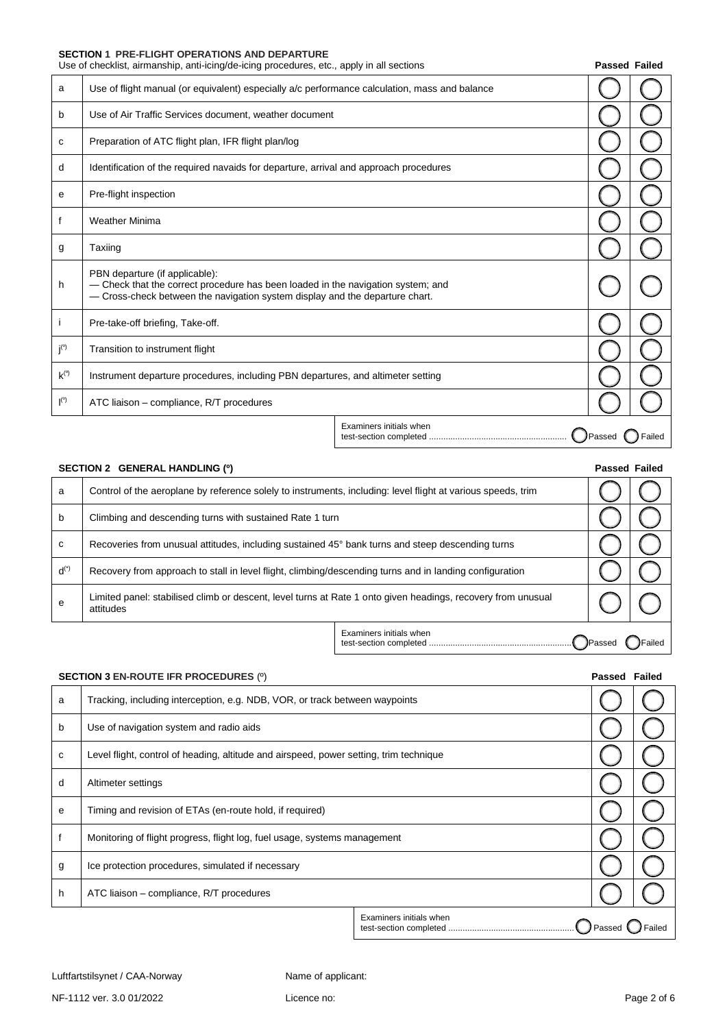## **SECTION 1 PRE-FLIGHT OPERATIONS AND DEPARTURE**

|                    | Use of checklist, airmanship, anti-icing/de-icing procedures, etc., apply in all sections                                                                                                          |                         | <b>Passed Failed</b> |        |
|--------------------|----------------------------------------------------------------------------------------------------------------------------------------------------------------------------------------------------|-------------------------|----------------------|--------|
| a                  | Use of flight manual (or equivalent) especially a/c performance calculation, mass and balance                                                                                                      |                         |                      |        |
| b                  | Use of Air Traffic Services document, weather document                                                                                                                                             |                         |                      |        |
| с                  | Preparation of ATC flight plan, IFR flight plan/log                                                                                                                                                |                         |                      |        |
| d                  | Identification of the required navaids for departure, arrival and approach procedures                                                                                                              |                         |                      |        |
| е                  | Pre-flight inspection                                                                                                                                                                              |                         |                      |        |
| f                  | <b>Weather Minima</b>                                                                                                                                                                              |                         |                      |        |
| g                  | Taxiing                                                                                                                                                                                            |                         |                      |        |
| h                  | PBN departure (if applicable):<br>- Check that the correct procedure has been loaded in the navigation system; and<br>- Cross-check between the navigation system display and the departure chart. |                         |                      |        |
|                    | Pre-take-off briefing, Take-off.                                                                                                                                                                   |                         |                      |        |
| $j^{(0)}$          | Transition to instrument flight                                                                                                                                                                    |                         |                      |        |
| $k^{(0)}$          | Instrument departure procedures, including PBN departures, and altimeter setting                                                                                                                   |                         |                      |        |
| $\mathsf{I}^{(0)}$ | ATC liaison - compliance, R/T procedures                                                                                                                                                           |                         |                      |        |
|                    |                                                                                                                                                                                                    | Examiners initials when | Passed               | Failed |

|           | SECTION 2 GENERAL HANDLING (0)                                                                                            |                         | <b>Passed Failed</b> |        |
|-----------|---------------------------------------------------------------------------------------------------------------------------|-------------------------|----------------------|--------|
| a         | Control of the aeroplane by reference solely to instruments, including: level flight at various speeds, trim              |                         |                      |        |
| b         | Climbing and descending turns with sustained Rate 1 turn                                                                  |                         |                      |        |
| C         | Recoveries from unusual attitudes, including sustained 45° bank turns and steep descending turns                          |                         |                      |        |
| $d^{(*)}$ | Recovery from approach to stall in level flight, climbing/descending turns and in landing configuration                   |                         |                      |        |
| e         | Limited panel: stabilised climb or descent, level turns at Rate 1 onto given headings, recovery from unusual<br>attitudes |                         |                      |        |
|           |                                                                                                                           | Examiners initials when |                      | Failed |

|   | <b>SECTION 3 EN-ROUTE IFR PROCEDURES (0)</b>                                           |                         | Passed Failed |        |
|---|----------------------------------------------------------------------------------------|-------------------------|---------------|--------|
| a | Tracking, including interception, e.g. NDB, VOR, or track between waypoints            |                         |               |        |
| b | Use of navigation system and radio aids                                                |                         |               |        |
| с | Level flight, control of heading, altitude and airspeed, power setting, trim technique |                         |               |        |
| d | Altimeter settings                                                                     |                         |               |        |
| e | Timing and revision of ETAs (en-route hold, if required)                               |                         |               |        |
|   | Monitoring of flight progress, flight log, fuel usage, systems management              |                         |               |        |
| g | Ice protection procedures, simulated if necessary                                      |                         |               |        |
| h | ATC liaison – compliance, R/T procedures                                               |                         |               |        |
|   |                                                                                        | Examiners initials when | Passed        | Failed |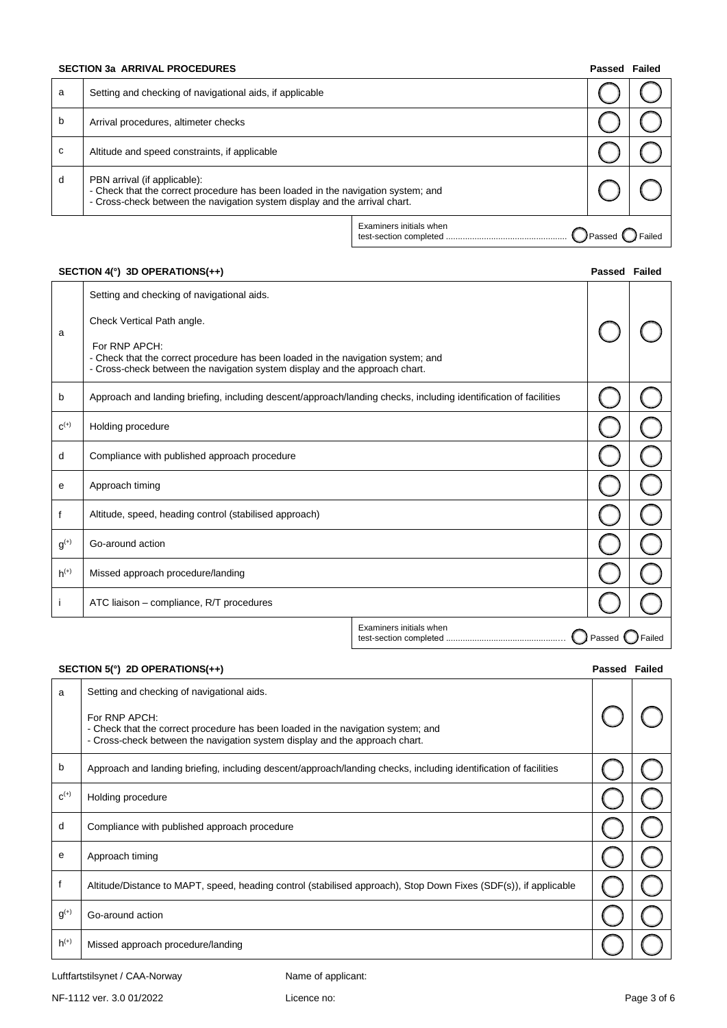#### **SECTION 3a ARRIVAL PROCEDURES Passed Failure 2012 12:30 Passed Failure 2013 12:41 Passed Failure 2014 12:42 Passed Failure 2014 12:42 Passed Failure 2014 12:42 Passed Failure 2014 12:42 Passed Failure 2014 12:42 Passed**

| a | Setting and checking of navigational aids, if applicable                                                                                                                                       |                         |               |        |
|---|------------------------------------------------------------------------------------------------------------------------------------------------------------------------------------------------|-------------------------|---------------|--------|
| b | Arrival procedures, altimeter checks                                                                                                                                                           |                         |               |        |
| C | Altitude and speed constraints, if applicable                                                                                                                                                  |                         |               |        |
| d | PBN arrival (if applicable):<br>- Check that the correct procedure has been loaded in the navigation system; and<br>- Cross-check between the navigation system display and the arrival chart. |                         |               |        |
|   |                                                                                                                                                                                                | Examiners initials when | <b>Passed</b> | Failed |

## **SECTION 4(°) 3D OPERATIONS(++) Passed Failed**

|           | Setting and checking of navigational aids.                                                                                                                                       |  |  |        |
|-----------|----------------------------------------------------------------------------------------------------------------------------------------------------------------------------------|--|--|--------|
| a         | Check Vertical Path angle.                                                                                                                                                       |  |  |        |
|           | For RNP APCH:<br>- Check that the correct procedure has been loaded in the navigation system; and<br>- Cross-check between the navigation system display and the approach chart. |  |  |        |
| b         | Approach and landing briefing, including descent/approach/landing checks, including identification of facilities                                                                 |  |  |        |
| $C^{(+)}$ | Holding procedure                                                                                                                                                                |  |  |        |
| d         | Compliance with published approach procedure                                                                                                                                     |  |  |        |
| е         | Approach timing                                                                                                                                                                  |  |  |        |
|           | Altitude, speed, heading control (stabilised approach)                                                                                                                           |  |  |        |
| $g^{(+)}$ | Go-around action                                                                                                                                                                 |  |  |        |
| $h^{(+)}$ | Missed approach procedure/landing                                                                                                                                                |  |  |        |
|           | ATC liaison - compliance, R/T procedures                                                                                                                                         |  |  |        |
|           | Examiners initials when<br>Passed                                                                                                                                                |  |  | Failec |

### **SECTION 5(°) 2D OPERATIONS(++) Passed Failed**

| a         | Setting and checking of navigational aids.<br>For RNP APCH:<br>- Check that the correct procedure has been loaded in the navigation system; and<br>- Cross-check between the navigation system display and the approach chart. |  |
|-----------|--------------------------------------------------------------------------------------------------------------------------------------------------------------------------------------------------------------------------------|--|
| b         | Approach and landing briefing, including descent/approach/landing checks, including identification of facilities                                                                                                               |  |
| $C^{(+)}$ | Holding procedure                                                                                                                                                                                                              |  |
| d         | Compliance with published approach procedure                                                                                                                                                                                   |  |
| е         | Approach timing                                                                                                                                                                                                                |  |
|           | Altitude/Distance to MAPT, speed, heading control (stabilised approach), Stop Down Fixes (SDF(s)), if applicable                                                                                                               |  |
| $g^{(+)}$ | Go-around action                                                                                                                                                                                                               |  |
| $h^{(+)}$ | Missed approach procedure/landing                                                                                                                                                                                              |  |

Luftfartstilsynet / CAA-Norway Name of applicant:

NF-1112 ver. 3.0 01/2022 Licence no: Page 3 of 6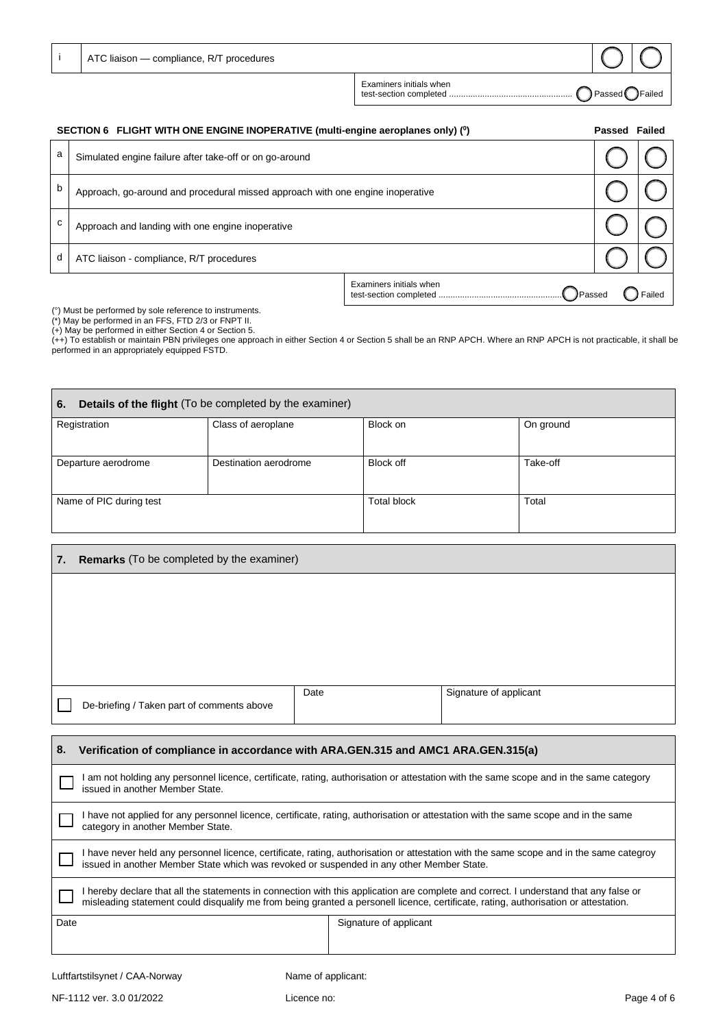| ATC liaison - compliance, R/T procedures |                                                   |                 |                 |
|------------------------------------------|---------------------------------------------------|-----------------|-----------------|
|                                          | Examiners initials when<br>test-section completed | <b>T</b> Passed | <b>J</b> Failed |

| SECTION 6 FLIGHT WITH ONE ENGINE INOPERATIVE (multi-engine aeroplanes only) (°) |                                                                                |                                            | Passed Failed |        |
|---------------------------------------------------------------------------------|--------------------------------------------------------------------------------|--------------------------------------------|---------------|--------|
| a                                                                               | Simulated engine failure after take-off or on go-around                        |                                            |               |        |
| b                                                                               | Approach, go-around and procedural missed approach with one engine inoperative |                                            |               |        |
| с                                                                               | Approach and landing with one engine inoperative                               |                                            |               |        |
| d                                                                               | ATC liaison - compliance, R/T procedures                                       |                                            |               |        |
|                                                                                 |                                                                                | Examiners initials when<br><b>J</b> Passed |               | Failed |

(°) Must be performed by sole reference to instruments.

(\*) May be performed in an FFS, FTD 2/3 or FNPT II.

(+) May be performed in either Section 4 or Section 5.

(++) To establish or maintain PBN privileges one approach in either Section 4 or Section 5 shall be an RNP APCH. Where an RNP APCH is not practicable, it shall be performed in an appropriately equipped FSTD.

| Details of the flight (To be completed by the examiner)<br>6. |                       |             |           |
|---------------------------------------------------------------|-----------------------|-------------|-----------|
| Registration                                                  | Class of aeroplane    | Block on    | On ground |
| Departure aerodrome                                           | Destination aerodrome | Block off   | Take-off  |
| Name of PIC during test                                       |                       | Total block | Total     |

| 7. | Remarks (To be completed by the examiner)  |      |                        |
|----|--------------------------------------------|------|------------------------|
|    |                                            |      |                        |
|    |                                            |      |                        |
|    |                                            |      |                        |
|    |                                            |      |                        |
|    | De-briefing / Taken part of comments above | Date | Signature of applicant |
|    |                                            |      |                        |

| 8.<br>Verification of compliance in accordance with ARA.GEN.315 and AMC1 ARA.GEN.315(a)                                                                                                                                                                                      |                                                                                                                                        |  |  |
|------------------------------------------------------------------------------------------------------------------------------------------------------------------------------------------------------------------------------------------------------------------------------|----------------------------------------------------------------------------------------------------------------------------------------|--|--|
| issued in another Member State.                                                                                                                                                                                                                                              | I am not holding any personnel licence, certificate, rating, authorisation or attestation with the same scope and in the same category |  |  |
| I have not applied for any personnel licence, certificate, rating, authorisation or attestation with the same scope and in the same<br>category in another Member State.                                                                                                     |                                                                                                                                        |  |  |
| I have never held any personnel licence, certificate, rating, authorisation or attestation with the same scope and in the same categroy<br>issued in another Member State which was revoked or suspended in any other Member State.                                          |                                                                                                                                        |  |  |
| I hereby declare that all the statements in connection with this application are complete and correct. I understand that any false or<br>misleading statement could disqualify me from being granted a personell licence, certificate, rating, authorisation or attestation. |                                                                                                                                        |  |  |
| Date                                                                                                                                                                                                                                                                         | Signature of applicant                                                                                                                 |  |  |
| Luftfartstilsynet / CAA-Norway                                                                                                                                                                                                                                               | Name of applicant:                                                                                                                     |  |  |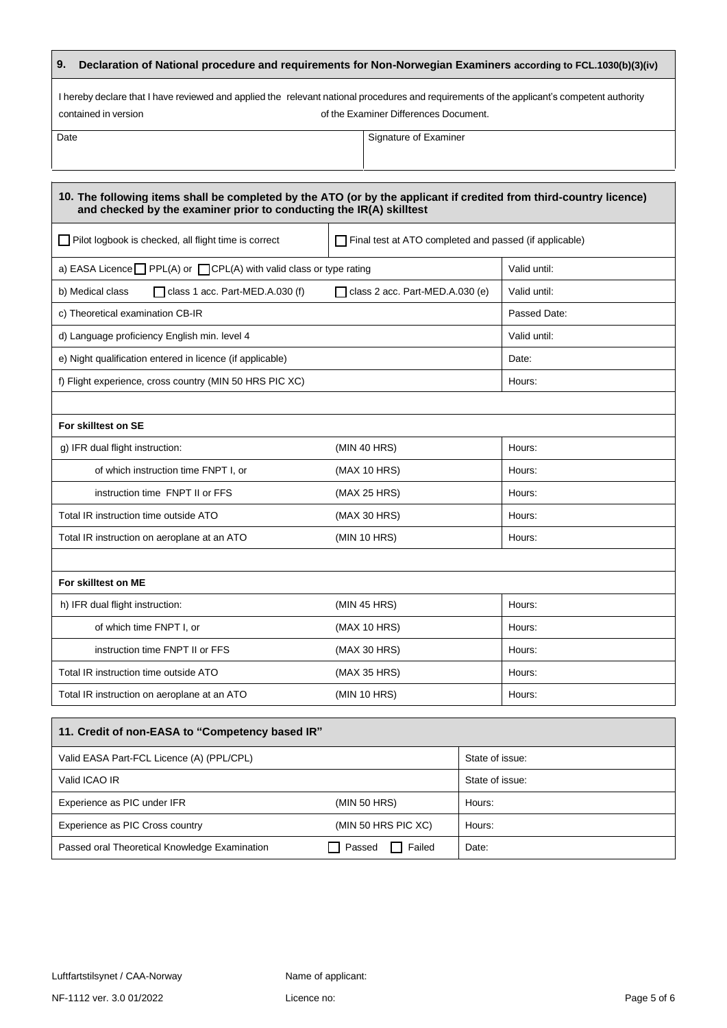## **9. Declaration of National procedure and requirements for Non-Norwegian Examiners according to FCL.1030(b)(3)(iv)**

I hereby declare that I have reviewed and applied the relevant national procedures and requirements of the applicant's competent authority contained in version of the Examiner Differences Document.

Date Signature of Examiner

| 10. The following items shall be completed by the ATO (or by the applicant if credited from third-country licence)<br>and checked by the examiner prior to conducting the IR(A) skilltest |                                                        |  |              |
|-------------------------------------------------------------------------------------------------------------------------------------------------------------------------------------------|--------------------------------------------------------|--|--------------|
| Pilot logbook is checked, all flight time is correct                                                                                                                                      | Final test at ATO completed and passed (if applicable) |  |              |
| a) EASA Licence PPL(A) or CPL(A) with valid class or type rating                                                                                                                          |                                                        |  | Valid until: |
| b) Medical class<br>$\Box$ class 1 acc. Part-MED.A.030 (f)                                                                                                                                | $\Box$ class 2 acc. Part-MED.A.030 (e)                 |  | Valid until: |
| c) Theoretical examination CB-IR                                                                                                                                                          |                                                        |  | Passed Date: |
| d) Language proficiency English min. level 4                                                                                                                                              |                                                        |  | Valid until: |
| e) Night qualification entered in licence (if applicable)                                                                                                                                 |                                                        |  | Date:        |
| f) Flight experience, cross country (MIN 50 HRS PIC XC)                                                                                                                                   |                                                        |  | Hours:       |
|                                                                                                                                                                                           |                                                        |  |              |
| For skilltest on SE                                                                                                                                                                       |                                                        |  |              |
| g) IFR dual flight instruction:<br>(MIN 40 HRS)                                                                                                                                           |                                                        |  | Hours:       |
| of which instruction time FNPT I, or                                                                                                                                                      | (MAX 10 HRS)                                           |  | Hours:       |
| instruction time FNPT II or FFS                                                                                                                                                           | (MAX 25 HRS)                                           |  | Hours:       |
| Total IR instruction time outside ATO                                                                                                                                                     | (MAX 30 HRS)                                           |  | Hours:       |
| Total IR instruction on aeroplane at an ATO                                                                                                                                               | (MIN 10 HRS)                                           |  | Hours:       |
|                                                                                                                                                                                           |                                                        |  |              |
| For skilltest on ME                                                                                                                                                                       |                                                        |  |              |
| h) IFR dual flight instruction:<br>(MIN 45 HRS)<br>Hours:                                                                                                                                 |                                                        |  |              |
| of which time FNPT I, or                                                                                                                                                                  | (MAX 10 HRS)                                           |  | Hours:       |
| instruction time FNPT II or FFS                                                                                                                                                           | (MAX 30 HRS)                                           |  | Hours:       |
| Total IR instruction time outside ATO                                                                                                                                                     | (MAX 35 HRS)                                           |  | Hours:       |
| Total IR instruction on aeroplane at an ATO                                                                                                                                               | (MIN 10 HRS)                                           |  | Hours:       |
| 11. Credit of non-EASA to "Competency based IR"                                                                                                                                           |                                                        |  |              |
| Valid EASA Part-FCL Licence (A) (PPL/CPL)                                                                                                                                                 | State of issue:                                        |  |              |
| Valid ICAO IR                                                                                                                                                                             | State of issue:                                        |  |              |
| Experience as PIC under IFR                                                                                                                                                               | (MIN 50 HRS)<br>Hours:                                 |  |              |
| Experience as PIC Cross country                                                                                                                                                           | (MIN 50 HRS PIC XC)<br>Hours:                          |  |              |

Passed oral Theoretical Knowledge Examination **Passed Failed** Date: